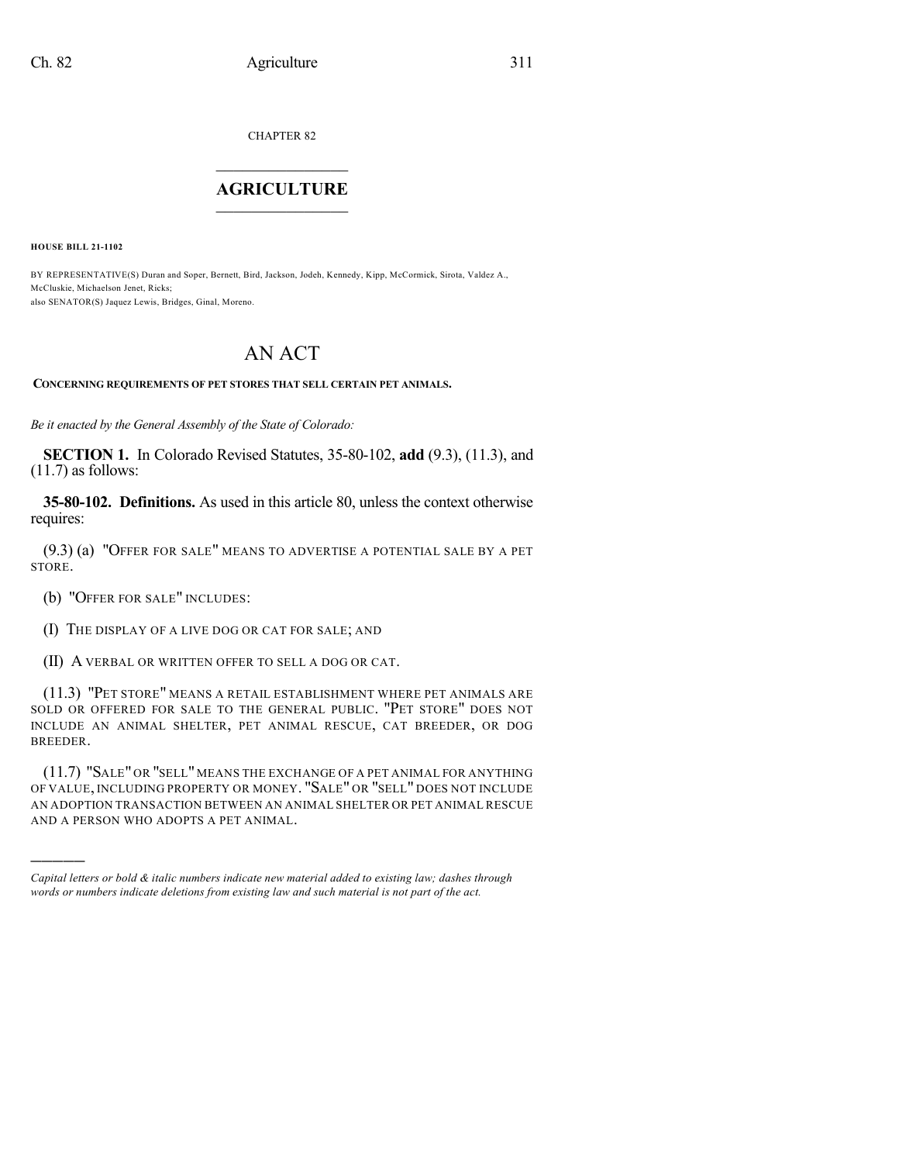CHAPTER 82

## $\overline{\phantom{a}}$  . The set of the set of the set of the set of the set of the set of the set of the set of the set of the set of the set of the set of the set of the set of the set of the set of the set of the set of the set o **AGRICULTURE**  $\_$   $\_$   $\_$   $\_$   $\_$   $\_$   $\_$   $\_$

**HOUSE BILL 21-1102**

)))))

BY REPRESENTATIVE(S) Duran and Soper, Bernett, Bird, Jackson, Jodeh, Kennedy, Kipp, McCormick, Sirota, Valdez A., McCluskie, Michaelson Jenet, Ricks; also SENATOR(S) Jaquez Lewis, Bridges, Ginal, Moreno.

## AN ACT

## **CONCERNING REQUIREMENTS OF PET STORES THAT SELL CERTAIN PET ANIMALS.**

*Be it enacted by the General Assembly of the State of Colorado:*

**SECTION 1.** In Colorado Revised Statutes, 35-80-102, **add** (9.3), (11.3), and (11.7) as follows:

**35-80-102. Definitions.** As used in this article 80, unless the context otherwise requires:

(9.3) (a) "OFFER FOR SALE" MEANS TO ADVERTISE A POTENTIAL SALE BY A PET STORE.

(b) "OFFER FOR SALE" INCLUDES:

(I) THE DISPLAY OF A LIVE DOG OR CAT FOR SALE; AND

(II) A VERBAL OR WRITTEN OFFER TO SELL A DOG OR CAT.

(11.3) "PET STORE" MEANS A RETAIL ESTABLISHMENT WHERE PET ANIMALS ARE SOLD OR OFFERED FOR SALE TO THE GENERAL PUBLIC. "PET STORE" DOES NOT INCLUDE AN ANIMAL SHELTER, PET ANIMAL RESCUE, CAT BREEDER, OR DOG BREEDER.

(11.7) "SALE" OR "SELL" MEANS THE EXCHANGE OF A PET ANIMAL FOR ANYTHING OF VALUE, INCLUDING PROPERTY OR MONEY. "SALE" OR "SELL" DOES NOT INCLUDE AN ADOPTION TRANSACTION BETWEEN AN ANIMAL SHELTER OR PET ANIMAL RESCUE AND A PERSON WHO ADOPTS A PET ANIMAL.

*Capital letters or bold & italic numbers indicate new material added to existing law; dashes through words or numbers indicate deletions from existing law and such material is not part of the act.*